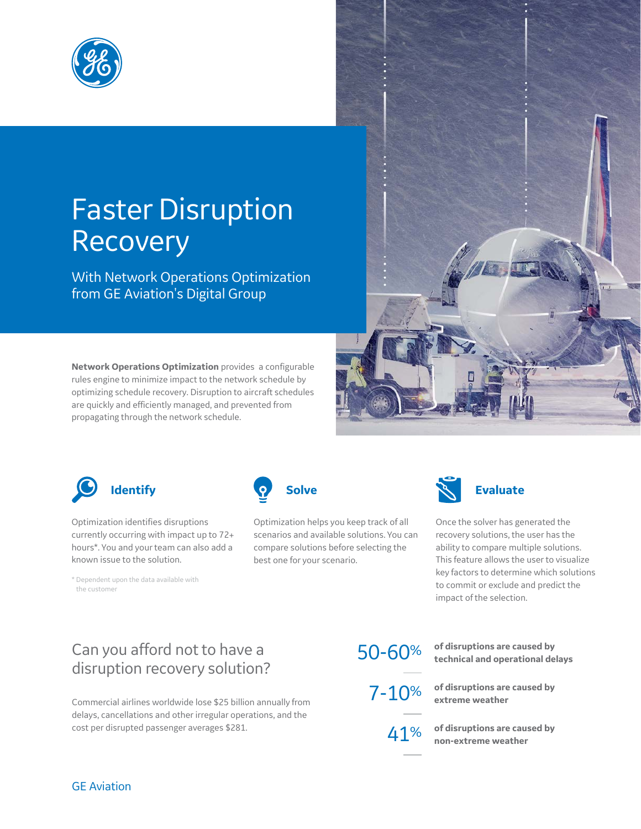

# Faster Disruption Recovery

With Network Operations Optimization from GE Aviation's Digital Group

**Network Operations Optimization** provides a configurable rules engine to minimize impact to the network schedule by optimizing schedule recovery. Disruption to aircraft schedules are quickly and efficiently managed, and prevented from propagating through the network schedule.





Optimization identifies disruptions currently occurring with impact up to 72+ hours\*. You and your team can also add a known issue to the solution.

\* Dependent upon the data available with the customer



Optimization helps you keep track of all scenarios and available solutions. You can compare solutions before selecting the best one for your scenario.



Once the solver has generated the recovery solutions, the user has the ability to compare multiple solutions. This feature allows the user to visualize key factors to determine which solutions to commit or exclude and predict the impact of the selection.

## Can you afford not to have a disruption recovery solution?

Commercial airlines worldwide lose \$25 billion annually from delays, cancellations and other irregular operations, and the cost per disrupted passenger averages \$281.

50-60% **of disruptions are caused by technical and operational delays**

7-10% **of disruptions are caused by extreme weather**

> 41% **of disruptions are caused by non-extreme weather**